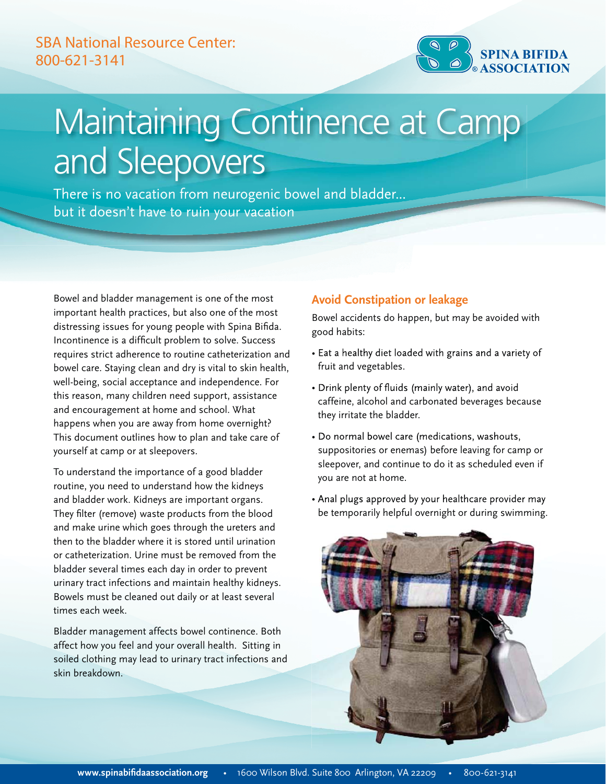# SBA National Resource Center: 800-621-3141



# Maintaining Continence at Camp and Sleepovers

There is no vacation from neurogenic bowel and bladder... but it doesn't have to ruin your vacation

Bowel and bladder management is one of the most important health practices, but also one of the most distressing issues for young people with Spina Bifida. Incontinence is a difficult problem to solve. Success requires strict adherence to routine catheterization and bowel care. Staying clean and dry is vital to skin health, well-being, social acceptance and independence. For this reason, many children need support, assistance and encouragement at home and school. What happens when you are away from home overnight? This document outlines how to plan and take care of yourself at camp or at sleepovers.

To understand the importance of a good bladder routine, you need to understand how the kidneys and bladder work. Kidneys are important organs. They filter (remove) waste products from the blood and make urine which goes through the ureters and then to the bladder where it is stored until urination or catheterization. Urine must be removed from the bladder several times each day in order to prevent urinary tract infections and maintain healthy kidneys. Bowels must be cleaned out daily or at least several times each week.

Bladder management affects bowel continence. Both affect how you feel and your overall health. Sitting in soiled clothing may lead to urinary tract infections and skin breakdown.

#### **Avoid Constipation or leakage**

Bowel accidents do happen, but may be avoided with good habits:

- Eat a healthy diet loaded with grains and a variety of fruit and vegetables.
- Drink plenty of fluids (mainly water), and avoid caffeine, alcohol and carbonated beverages because they irritate the bladder.
- Do normal bowel care (medications, washouts, suppositories or enemas) before leaving for camp or sleepover, and continue to do it as scheduled even if you are not at home.
- Anal plugs approved by your healthcare provider may be temporarily helpful overnight or during swimming.